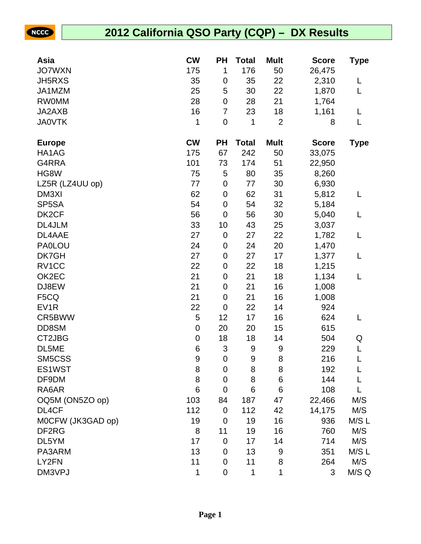NCCC

## **2012 California QSO Party (CQP) – DX Results**

| Asia               | <b>CW</b>        | <b>PH</b>                 | <b>Total</b> | <b>Mult</b>    | <b>Score</b> | <b>Type</b> |
|--------------------|------------------|---------------------------|--------------|----------------|--------------|-------------|
| <b>JO7WXN</b>      | 175              | 1                         | 176          | 50             | 26,475       |             |
| <b>JH5RXS</b>      | 35               | $\pmb{0}$                 | 35           | 22             | 2,310        | L           |
| JA1MZM             | 25               | 5                         | 30           | 22             | 1,870        | L           |
| <b>RW0MM</b>       | 28               | $\pmb{0}$                 | 28           | 21             | 1,764        |             |
| JA2AXB             | 16               | $\overline{7}$            | 23           | 18             | 1,161        | L           |
| <b>JA0VTK</b>      | 1                | $\pmb{0}$                 | 1            | $\overline{2}$ | 8            | L           |
| <b>Europe</b>      | <b>CW</b>        | PH                        | <b>Total</b> | <b>Mult</b>    | <b>Score</b> | <b>Type</b> |
| HA1AG              | 175              | 67                        | 242          | 50             | 33,075       |             |
| G4RRA              | 101              | 73                        | 174          | 51             | 22,950       |             |
| HG8W               | 75               | 5                         | 80           | 35             | 8,260        |             |
| LZ5R (LZ4UU op)    | 77               | $\pmb{0}$                 | 77           | 30             | 6,930        |             |
| DM3XI              | 62               | $\pmb{0}$                 | 62           | 31             | 5,812        | L           |
| SP <sub>5</sub> SA | 54               | $\pmb{0}$                 | 54           | 32             | 5,184        |             |
| DK <sub>2</sub> CF | 56               | $\pmb{0}$                 | 56           | 30             | 5,040        | L           |
| DL4JLM             | 33               | 10                        | 43           | 25             | 3,037        |             |
| DL4AAE             | 27               | $\pmb{0}$                 | 27           | 22             | 1,782        | L           |
| <b>PA0LOU</b>      | 24               | $\pmb{0}$                 | 24           | 20             | 1,470        |             |
| DK7GH              | 27               | $\pmb{0}$                 | 27           | 17             | 1,377        | L           |
| RV1CC              | 22               | $\pmb{0}$                 | 22           | 18             | 1,215        |             |
| OK2EC              | 21               | $\pmb{0}$                 | 21           | 18             | 1,134        | L           |
| DJ8EW              | 21               | $\pmb{0}$                 | 21           | 16             | 1,008        |             |
| F5CQ               | 21               | $\pmb{0}$                 | 21           | 16             | 1,008        |             |
| EV <sub>1</sub> R  | 22               | $\pmb{0}$                 | 22           | 14             | 924          |             |
| CR5BWW             | 5                | 12                        | 17           | 16             | 624          | L           |
| DD8SM              | $\boldsymbol{0}$ | 20                        | 20           | 15             | 615          |             |
| CT2JBG             | $\pmb{0}$        | 18                        | 18           | 14             | 504          | Q           |
| DL5ME              | 6                | $\ensuremath{\mathsf{3}}$ | 9            | 9              | 229          | L           |
| SM5CSS             | $\boldsymbol{9}$ | $\mathbf 0$               | 9            | 8              | 216          | L           |
| ES1WST             | 8                | $\boldsymbol{0}$          | 8            | 8              | 192          | L           |
| DF9DM              | 8                | $\pmb{0}$                 | 8            | 6              | 144          |             |
| RA6AR              | 6                | $\mathbf 0$               | 6            | 6              | 108          | L           |
| OQ5M (ON5ZO op)    | 103              | 84                        | 187          | 47             | 22,466       | M/S         |
| DL4CF              | 112              | $\mathbf 0$               | 112          | 42             | 14,175       | M/S         |
| M0CFW (JK3GAD op)  | 19               | $\mathbf 0$               | 19           | 16             | 936          | M/SL        |
| DF2RG              | 8                | 11                        | 19           | 16             | 760          | M/S         |
| DL5YM              | 17               | $\boldsymbol{0}$          | 17           | 14             | 714          | M/S         |
| PA3ARM             | 13               | $\mathbf 0$               | 13           | 9              | 351          | M/SL        |
| LY2FN              | 11               | $\boldsymbol{0}$          | 11           | 8              | 264          | M/S         |
| DM3VPJ             | 1                | $\pmb{0}$                 | 1            | 1              | 3            | M/S Q       |